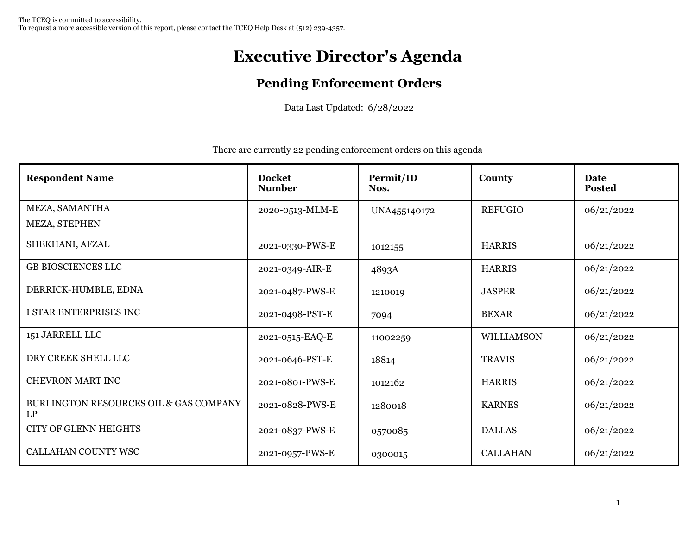## **Executive Director's Agenda**

## **Pending Enforcement Orders**

Data Last Updated: 6/28/2022

There are currently 22 pending enforcement orders on this agenda

| <b>Respondent Name</b>                       | <b>Docket</b><br><b>Number</b> | Permit/ID<br>Nos. | County            | Date<br><b>Posted</b> |
|----------------------------------------------|--------------------------------|-------------------|-------------------|-----------------------|
| MEZA, SAMANTHA                               | 2020-0513-MLM-E                | UNA455140172      | <b>REFUGIO</b>    | 06/21/2022            |
| MEZA, STEPHEN                                |                                |                   |                   |                       |
| SHEKHANI, AFZAL                              | 2021-0330-PWS-E                | 1012155           | <b>HARRIS</b>     | 06/21/2022            |
| <b>GB BIOSCIENCES LLC</b>                    | 2021-0349-AIR-E                | 4893A             | <b>HARRIS</b>     | 06/21/2022            |
| DERRICK-HUMBLE, EDNA                         | 2021-0487-PWS-E                | 1210019           | <b>JASPER</b>     | 06/21/2022            |
| I STAR ENTERPRISES INC                       | 2021-0498-PST-E                | 7094              | <b>BEXAR</b>      | 06/21/2022            |
| 151 JARRELL LLC                              | 2021-0515-EAQ-E                | 11002259          | <b>WILLIAMSON</b> | 06/21/2022            |
| DRY CREEK SHELL LLC                          | 2021-0646-PST-E                | 18814             | <b>TRAVIS</b>     | 06/21/2022            |
| <b>CHEVRON MART INC</b>                      | 2021-0801-PWS-E                | 1012162           | <b>HARRIS</b>     | 06/21/2022            |
| BURLINGTON RESOURCES OIL & GAS COMPANY<br>LP | 2021-0828-PWS-E                | 1280018           | <b>KARNES</b>     | 06/21/2022            |
| <b>CITY OF GLENN HEIGHTS</b>                 | 2021-0837-PWS-E                | 0570085           | <b>DALLAS</b>     | 06/21/2022            |
| <b>CALLAHAN COUNTY WSC</b>                   | 2021-0957-PWS-E                | 0300015           | <b>CALLAHAN</b>   | 06/21/2022            |